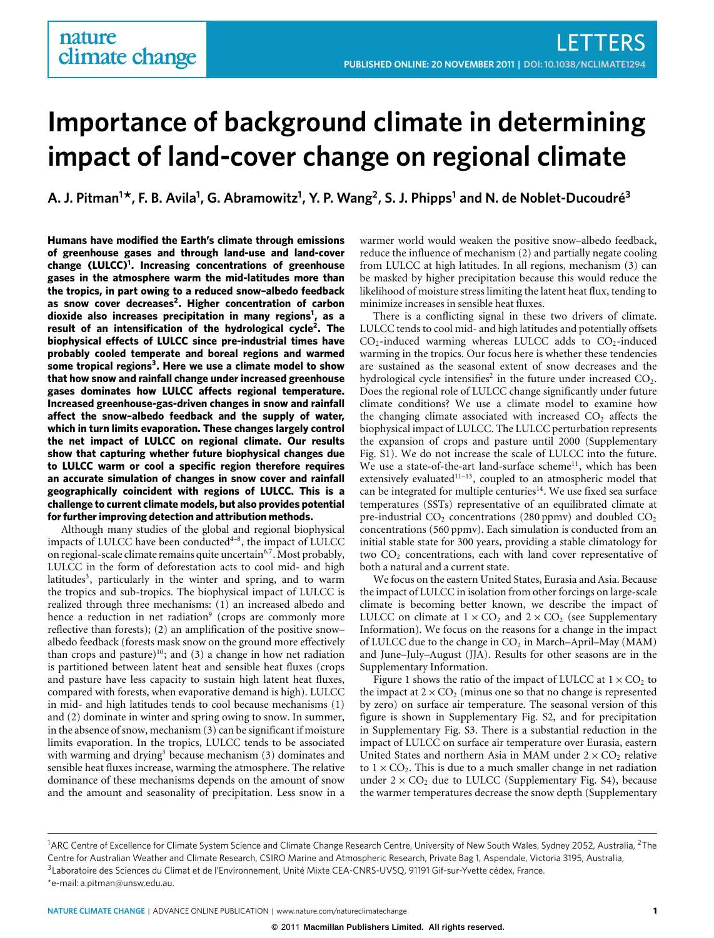# **Importance of background climate in determining impact of land-cover change on regional climate**

**A. J. Pitman<sup>1</sup> \*, F. B. Avila<sup>1</sup> , G. Abramowitz<sup>1</sup> , Y. P. Wang<sup>2</sup> , S. J. Phipps<sup>1</sup> and N. de Noblet-Ducoudré<sup>3</sup>**

**Humans have modified the Earth's climate through emissions of greenhouse gases and through land-use and land-cover change (LULCC)[1](#page-3-0) . Increasing concentrations of greenhouse gases in the atmosphere warm the mid-latitudes more than the tropics, in part owing to a reduced snow–albedo feedback as snow cover decreases[2](#page-3-1) . Higher concentration of carbon dioxide also increases precipitation in many regions[1](#page-3-0) , as a result of an intensification of the hydrological cycle[2](#page-3-1) . The biophysical effects of LULCC since pre-industrial times have probably cooled temperate and boreal regions and warmed some tropical regions[3](#page-3-2) . Here we use a climate model to show that how snow and rainfall change under increased greenhouse gases dominates how LULCC affects regional temperature. Increased greenhouse-gas-driven changes in snow and rainfall affect the snow–albedo feedback and the supply of water, which in turn limits evaporation. These changes largely control the net impact of LULCC on regional climate. Our results show that capturing whether future biophysical changes due to LULCC warm or cool a specific region therefore requires an accurate simulation of changes in snow cover and rainfall geographically coincident with regions of LULCC. This is a challenge to current climate models, but also provides potential for further improving detection and attribution methods.**

Although many studies of the global and regional biophysical impacts of LULCC have been conducted $4-8$  $4-8$ , the impact of LULCC on regional-scale climate remains quite uncertain<sup>[6](#page-3-5)[,7](#page-3-6)</sup>. Most probably, LULCC in the form of deforestation acts to cool mid- and high latitudes<sup>[3](#page-3-2)</sup>, particularly in the winter and spring, and to warm the tropics and sub-tropics. The biophysical impact of LULCC is realized through three mechanisms: (1) an increased albedo and hence a reduction in net radiation<sup>[9](#page-3-7)</sup> (crops are commonly more reflective than forests); (2) an amplification of the positive snow– albedo feedback (forests mask snow on the ground more effectively than crops and pasture)<sup>[10](#page-3-8)</sup>; and (3) a change in how net radiation is partitioned between latent heat and sensible heat fluxes (crops and pasture have less capacity to sustain high latent heat fluxes, compared with forests, when evaporative demand is high). LULCC in mid- and high latitudes tends to cool because mechanisms (1) and (2) dominate in winter and spring owing to snow. In summer, in the absence of snow, mechanism (3) can be significant if moisture limits evaporation. In the tropics, LULCC tends to be associated with warming and drying<sup>[3](#page-3-2)</sup> because mechanism  $(3)$  dominates and sensible heat fluxes increase, warming the atmosphere. The relative dominance of these mechanisms depends on the amount of snow and the amount and seasonality of precipitation. Less snow in a

warmer world would weaken the positive snow–albedo feedback, reduce the influence of mechanism (2) and partially negate cooling from LULCC at high latitudes. In all regions, mechanism (3) can be masked by higher precipitation because this would reduce the likelihood of moisture stress limiting the latent heat flux, tending to minimize increases in sensible heat fluxes.

There is a conflicting signal in these two drivers of climate. LULCC tends to cool mid- and high latitudes and potentially offsets  $CO<sub>2</sub>$ -induced warming whereas LULCC adds to  $CO<sub>2</sub>$ -induced warming in the tropics. Our focus here is whether these tendencies are sustained as the seasonal extent of snow decreases and the hydrological cycle intensifies<sup>[2](#page-3-1)</sup> in the future under increased  $CO<sub>2</sub>$ . Does the regional role of LULCC change significantly under future climate conditions? We use a climate model to examine how the changing climate associated with increased  $CO<sub>2</sub>$  affects the biophysical impact of LULCC. The LULCC perturbation represents the expansion of crops and pasture until 2000 (Supplementary Fig. S1). We do not increase the scale of LULCC into the future. We use a state-of-the-art land-surface scheme $^{11}$  $^{11}$  $^{11}$ , which has been extensively evaluated $11-13$  $11-13$ , coupled to an atmospheric model that can be integrated for multiple centuries<sup>[14](#page-3-11)</sup>. We use fixed sea surface temperatures (SSTs) representative of an equilibrated climate at pre-industrial  $CO<sub>2</sub>$  concentrations (280 ppmv) and doubled  $CO<sub>2</sub>$ concentrations (560 ppmv). Each simulation is conducted from an initial stable state for 300 years, providing a stable climatology for two  $CO<sub>2</sub>$  concentrations, each with land cover representative of both a natural and a current state.

We focus on the eastern United States, Eurasia and Asia. Because the impact of LULCC in isolation from other forcings on large-scale climate is becoming better known, we describe the impact of LULCC on climate at  $1 \times CO_2$  and  $2 \times CO_2$  (see Supplementary Information). We focus on the reasons for a change in the impact of LULCC due to the change in CO<sub>2</sub> in March–April–May (MAM) and June–July–August (JJA). Results for other seasons are in the Supplementary Information.

[Figure 1](#page-1-0) shows the ratio of the impact of LULCC at  $1 \times CO_2$  to the impact at  $2 \times CO<sub>2</sub>$  (minus one so that no change is represented by zero) on surface air temperature. The seasonal version of this figure is shown in Supplementary Fig. S2, and for precipitation in Supplementary Fig. S3. There is a substantial reduction in the impact of LULCC on surface air temperature over Eurasia, eastern United States and northern Asia in MAM under  $2 \times CO_2$  relative to  $1 \times CO_2$ . This is due to a much smaller change in net radiation under  $2 \times CO_2$  due to LULCC (Supplementary Fig. S4), because the warmer temperatures decrease the snow depth (Supplementary

<sup>&</sup>lt;sup>1</sup>ARC Centre of Excellence for Climate System Science and Climate Change Research Centre, University of New South Wales, Sydney 2052, Australia, <sup>2</sup>The Centre for Australian Weather and Climate Research, CSIRO Marine and Atmospheric Research, Private Bag 1, Aspendale, Victoria 3195, Australia, 3Laboratoire des Sciences du Climat et de l'Environnement, Unité Mixte CEA-CNRS-UVSQ, 91191 Gif-sur-Yvette cédex, France. \*e-mail: [a.pitman@unsw.edu.au.](mailto:a.pitman@unsw.edu.au)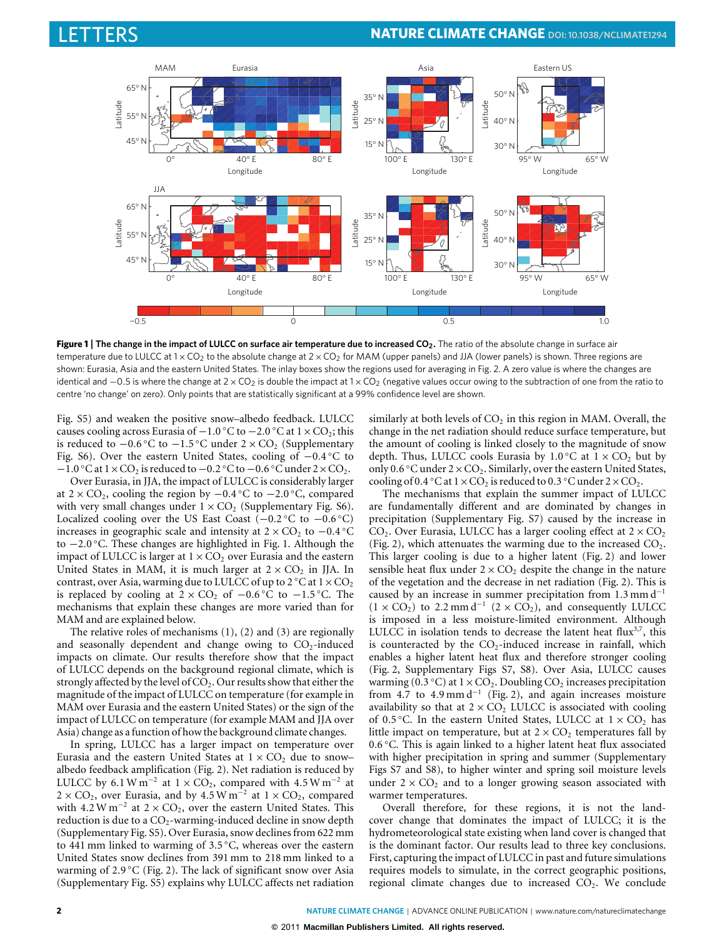

<span id="page-1-0"></span>**Figure 1** | **The change in the impact of LULCC on surface air temperature due to increased CO2.** The ratio of the absolute change in surface air temperature due to LULCC at  $1 \times CO_2$  to the absolute change at  $2 \times CO_2$  for MAM (upper panels) and JJA (lower panels) is shown. Three regions are shown: Eurasia, Asia and the eastern United States. The inlay boxes show the regions used for averaging in Fig. 2. A zero value is where the changes are identical and  $-0.5$  is where the change at  $2 \times CO_2$  is double the impact at  $1 \times CO_2$  (negative values occur owing to the subtraction of one from the ratio to centre 'no change' on zero). Only points that are statistically significant at a 99% confidence level are shown.

Fig. S5) and weaken the positive snow–albedo feedback. LULCC causes cooling across Eurasia of −1.0 °C to −2.0 °C at 1 × CO<sub>2</sub>; this is reduced to  $-0.6$  °C to  $-1.5$  °C under 2 × CO<sub>2</sub> (Supplementary Fig. S6). Over the eastern United States, cooling of −0.4 ◦C to −1.0 °C at  $1 \times CO_2$  is reduced to −0.2 °C to −0.6 °C under  $2 \times CO_2$ .

Over Eurasia, in JJA, the impact of LULCC is considerably larger at 2 × CO<sub>2</sub>, cooling the region by  $-0.4$  °C to  $-2.0$  °C, compared with very small changes under  $1 \times CO<sub>2</sub>$  (Supplementary Fig. S6). Localized cooling over the US East Coast (−0.2 ◦C to −0.6 ◦C) increases in geographic scale and intensity at  $2 \times CO_2$  to  $-0.4$  °C to −2.0 ◦C. These changes are highlighted in [Fig. 1.](#page-1-0) Although the impact of LULCC is larger at  $1 \times CO_2$  over Eurasia and the eastern United States in MAM, it is much larger at  $2 \times CO_2$  in JJA. In contrast, over Asia, warming due to LULCC of up to  $2 °C$  at  $1 \times CO<sub>2</sub>$ is replaced by cooling at  $2 \times CO_2$  of  $-0.6\degree$ C to  $-1.5\degree$ C. The mechanisms that explain these changes are more varied than for MAM and are explained below.

The relative roles of mechanisms (1), (2) and (3) are regionally and seasonally dependent and change owing to  $CO<sub>2</sub>$ -induced impacts on climate. Our results therefore show that the impact of LULCC depends on the background regional climate, which is strongly affected by the level of  $CO<sub>2</sub>$ . Our results show that either the magnitude of the impact of LULCC on temperature (for example in MAM over Eurasia and the eastern United States) or the sign of the impact of LULCC on temperature (for example MAM and JJA over Asia) change as a function of how the background climate changes.

In spring, LULCC has a larger impact on temperature over Eurasia and the eastern United States at  $1 \times CO_2$  due to snow– albedo feedback amplification [\(Fig. 2\)](#page-2-0). Net radiation is reduced by LULCC by 6.1 W m<sup>-2</sup> at  $1 \times CO_2$ , compared with 4.5 W m<sup>-2</sup> at  $2 \times CO_2$ , over Eurasia, and by 4.5 W m<sup>-2</sup> at  $1 \times CO_2$ , compared with  $4.2 \text{ W m}^{-2}$  at  $2 \times \text{CO}_2$ , over the eastern United States. This reduction is due to a  $CO<sub>2</sub>$ -warming-induced decline in snow depth (Supplementary Fig. S5). Over Eurasia, snow declines from 622 mm to 441 mm linked to warming of 3.5 ◦C, whereas over the eastern United States snow declines from 391 mm to 218 mm linked to a warming of 2.9 °C [\(Fig. 2\)](#page-2-0). The lack of significant snow over Asia (Supplementary Fig. S5) explains why LULCC affects net radiation similarly at both levels of  $CO<sub>2</sub>$  in this region in MAM. Overall, the change in the net radiation should reduce surface temperature, but the amount of cooling is linked closely to the magnitude of snow depth. Thus, LULCC cools Eurasia by  $1.0\,^{\circ}$ C at  $1 \times CO_{2}$  but by only 0.6 °C under  $2 \times \text{CO}_2$ . Similarly, over the eastern United States, cooling of 0.4 °C at  $1 \times CO_2$  is reduced to 0.3 °C under  $2 \times CO_2$ .

The mechanisms that explain the summer impact of LULCC are fundamentally different and are dominated by changes in precipitation (Supplementary Fig. S7) caused by the increase in  $CO<sub>2</sub>$ . Over Eurasia, LULCC has a larger cooling effect at  $2 \times CO<sub>2</sub>$ [\(Fig. 2\)](#page-2-0), which attenuates the warming due to the increased  $CO<sub>2</sub>$ . This larger cooling is due to a higher latent [\(Fig. 2\)](#page-2-0) and lower sensible heat flux under  $2 \times CO_2$  despite the change in the nature of the vegetation and the decrease in net radiation [\(Fig. 2\)](#page-2-0). This is caused by an increase in summer precipitation from 1.3 mm d<sup>−</sup><sup>1</sup>  $(1 \times CO_2)$  to 2.2 mm d<sup>-1</sup>  $(2 \times CO_2)$ , and consequently LULCC is imposed in a less moisture-limited environment. Although LULCC in isolation tends to decrease the latent heat flux $3,7$  $3,7$ , this is counteracted by the  $CO<sub>2</sub>$ -induced increase in rainfall, which enables a higher latent heat flux and therefore stronger cooling [\(Fig. 2,](#page-2-0) Supplementary Figs S7, S8). Over Asia, LULCC causes warming ( $0.3 \degree C$ ) at  $1 \times CO_2$ . Doubling CO<sub>2</sub> increases precipitation from 4.7 to 4.9 mm d<sup>−</sup><sup>1</sup> [\(Fig. 2\)](#page-2-0), and again increases moisture availability so that at  $2 \times CO_2$  LULCC is associated with cooling of 0.5 °C. In the eastern United States, LULCC at  $1 \times CO_2$  has little impact on temperature, but at  $2 \times CO_2$  temperatures fall by 0.6 ◦C. This is again linked to a higher latent heat flux associated with higher precipitation in spring and summer (Supplementary Figs S7 and S8), to higher winter and spring soil moisture levels under  $2 \times CO_2$  and to a longer growing season associated with warmer temperatures.

Overall therefore, for these regions, it is not the landcover change that dominates the impact of LULCC; it is the hydrometeorological state existing when land cover is changed that is the dominant factor. Our results lead to three key conclusions. First, capturing the impact of LULCC in past and future simulations requires models to simulate, in the correct geographic positions, regional climate changes due to increased  $CO<sub>2</sub>$ . We conclude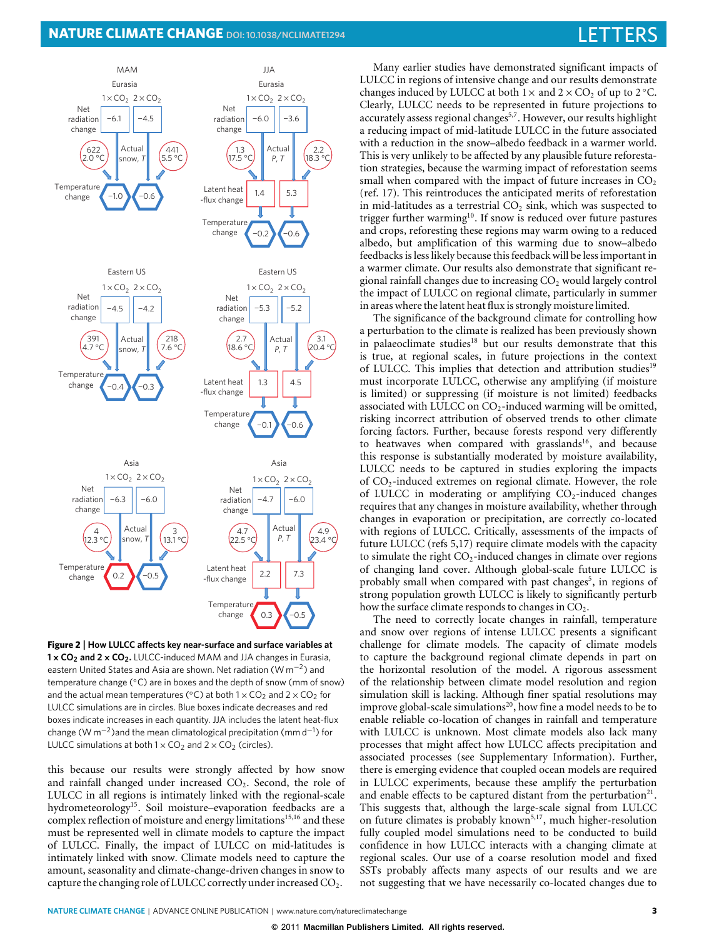## **NATURE CLIMATE CHANGE** DOI[: 10.1038/NCLIMATE1294](http://www.nature.com/doifinder/10.1038/nclimate1294) LETTERS LETTERS



<span id="page-2-0"></span>**Figure 2** | **How LULCC affects key near-surface and surface variables at 1**×**CO<sup>2</sup> and 2**×**CO2.** LULCC-induced MAM and JJA changes in Eurasia, eastern United States and Asia are shown. Net radiation (W  $\text{m}^{-2}$ ) and temperature change (◦C) are in boxes and the depth of snow (mm of snow) and the actual mean temperatures ( $°C$ ) at both  $1 \times CO<sub>2</sub>$  and  $2 \times CO<sub>2</sub>$  for LULCC simulations are in circles. Blue boxes indicate decreases and red boxes indicate increases in each quantity. JJA includes the latent heat-flux change (W m<sup>-2</sup>)and the mean climatological precipitation (mm d<sup>-1</sup>) for LULCC simulations at both  $1 \times CO_2$  and  $2 \times CO_2$  (circles).

this because our results were strongly affected by how snow and rainfall changed under increased  $CO<sub>2</sub>$ . Second, the role of LULCC in all regions is intimately linked with the regional-scale hydrometeorology<sup>[15](#page-3-12)</sup>. Soil moisture–evaporation feedbacks are a complex reflection of moisture and energy limitations<sup>[15](#page-3-12)[,16](#page-3-13)</sup> and these must be represented well in climate models to capture the impact of LULCC. Finally, the impact of LULCC on mid-latitudes is intimately linked with snow. Climate models need to capture the amount, seasonality and climate-change-driven changes in snow to capture the changing role of LULCC correctly under increased CO<sub>2</sub>.

Many earlier studies have demonstrated significant impacts of LULCC in regions of intensive change and our results demonstrate changes induced by LULCC at both  $1 \times$  and  $2 \times CO_2$  of up to 2 °C. Clearly, LULCC needs to be represented in future projections to accurately assess regional changes<sup>[5](#page-3-14)[,7](#page-3-6)</sup>. However, our results highlight a reducing impact of mid-latitude LULCC in the future associated with a reduction in the snow–albedo feedback in a warmer world. This is very unlikely to be affected by any plausible future reforestation strategies, because the warming impact of reforestation seems small when compared with the impact of future increases in  $CO<sub>2</sub>$ (ref. [17\)](#page-3-15). This reintroduces the anticipated merits of reforestation in mid-latitudes as a terrestrial  $CO<sub>2</sub>$  sink, which was suspected to trigger further warming<sup>[10](#page-3-8)</sup>. If snow is reduced over future pastures and crops, reforesting these regions may warm owing to a reduced albedo, but amplification of this warming due to snow–albedo feedbacks is less likely because this feedback will be less important in a warmer climate. Our results also demonstrate that significant regional rainfall changes due to increasing  $CO<sub>2</sub>$  would largely control the impact of LULCC on regional climate, particularly in summer in areas where the latent heat flux is strongly moisture limited.

The significance of the background climate for controlling how a perturbation to the climate is realized has been previously shown in palaeoclimate studies<sup>[18](#page-3-16)</sup> but our results demonstrate that this is true, at regional scales, in future projections in the context of LULCC. This implies that detection and attribution studies<sup>[19](#page-3-17)</sup> must incorporate LULCC, otherwise any amplifying (if moisture is limited) or suppressing (if moisture is not limited) feedbacks associated with LULCC on  $CO<sub>2</sub>$ -induced warming will be omitted, risking incorrect attribution of observed trends to other climate forcing factors. Further, because forests respond very differently to heatwaves when compared with grasslands<sup>[16](#page-3-13)</sup>, and because this response is substantially moderated by moisture availability, LULCC needs to be captured in studies exploring the impacts of  $CO<sub>2</sub>$ -induced extremes on regional climate. However, the role of LULCC in moderating or amplifying  $CO<sub>2</sub>$ -induced changes requires that any changes in moisture availability, whether through changes in evaporation or precipitation, are correctly co-located with regions of LULCC. Critically, assessments of the impacts of future LULCC (refs [5](#page-3-14)[,17\)](#page-3-15) require climate models with the capacity to simulate the right  $CO<sub>2</sub>$ -induced changes in climate over regions of changing land cover. Although global-scale future LULCC is probably small when compared with past changes<sup>[5](#page-3-14)</sup>, in regions of strong population growth LULCC is likely to significantly perturb how the surface climate responds to changes in  $CO<sub>2</sub>$ .

The need to correctly locate changes in rainfall, temperature and snow over regions of intense LULCC presents a significant challenge for climate models. The capacity of climate models to capture the background regional climate depends in part on the horizontal resolution of the model. A rigorous assessment of the relationship between climate model resolution and region simulation skill is lacking. Although finer spatial resolutions may improve global-scale simulations<sup>[20](#page-3-18)</sup>, how fine a model needs to be to enable reliable co-location of changes in rainfall and temperature with LULCC is unknown. Most climate models also lack many processes that might affect how LULCC affects precipitation and associated processes (see Supplementary Information). Further, there is emerging evidence that coupled ocean models are required in LULCC experiments, because these amplify the perturbation and enable effects to be captured distant from the perturbation $2<sup>1</sup>$ . This suggests that, although the large-scale signal from LULCC on future climates is probably known<sup>[5](#page-3-14)[,17](#page-3-15)</sup>, much higher-resolution fully coupled model simulations need to be conducted to build confidence in how LULCC interacts with a changing climate at regional scales. Our use of a coarse resolution model and fixed SSTs probably affects many aspects of our results and we are not suggesting that we have necessarily co-located changes due to